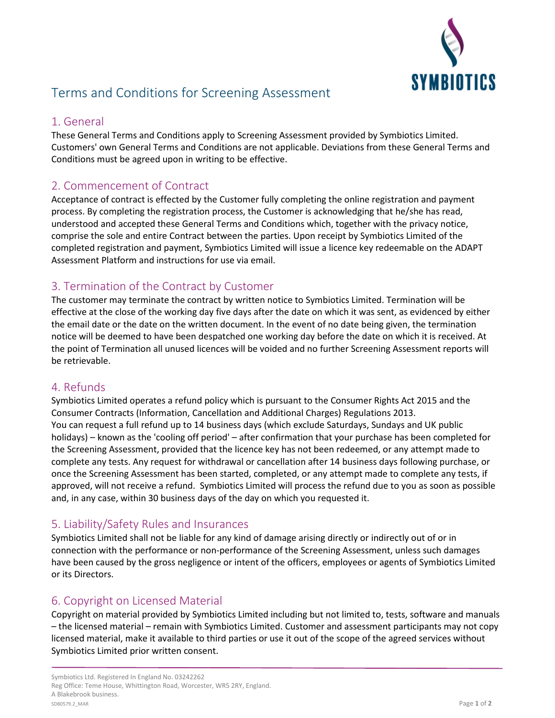

# Terms and Conditions for Screening Assessment

### 1. General

These General Terms and Conditions apply to Screening Assessment provided by Symbiotics Limited. Customers' own General Terms and Conditions are not applicable. Deviations from these General Terms and Conditions must be agreed upon in writing to be effective.

## 2. Commencement of Contract

Acceptance of contract is effected by the Customer fully completing the online registration and payment process. By completing the registration process, the Customer is acknowledging that he/she has read, understood and accepted these General Terms and Conditions which, together with the privacy notice, comprise the sole and entire Contract between the parties. Upon receipt by Symbiotics Limited of the completed registration and payment, Symbiotics Limited will issue a licence key redeemable on the ADAPT Assessment Platform and instructions for use via email.

### 3. Termination of the Contract by Customer

The customer may terminate the contract by written notice to Symbiotics Limited. Termination will be effective at the close of the working day five days after the date on which it was sent, as evidenced by either the email date or the date on the written document. In the event of no date being given, the termination notice will be deemed to have been despatched one working day before the date on which it is received. At the point of Termination all unused licences will be voided and no further Screening Assessment reports will be retrievable.

### 4. Refunds

Symbiotics Limited operates a refund policy which is pursuant to the Consumer Rights Act 2015 and the Consumer Contracts (Information, Cancellation and Additional Charges) Regulations 2013. You can request a full refund up to 14 business days (which exclude Saturdays, Sundays and UK public holidays) – known as the 'cooling off period' – after confirmation that your purchase has been completed for the Screening Assessment, provided that the licence key has not been redeemed, or any attempt made to complete any tests. Any request for withdrawal or cancellation after 14 business days following purchase, or once the Screening Assessment has been started, completed, or any attempt made to complete any tests, if approved, will not receive a refund. Symbiotics Limited will process the refund due to you as soon as possible and, in any case, within 30 business days of the day on which you requested it.

### 5. Liability/Safety Rules and Insurances

Symbiotics Limited shall not be liable for any kind of damage arising directly or indirectly out of or in connection with the performance or non-performance of the Screening Assessment, unless such damages have been caused by the gross negligence or intent of the officers, employees or agents of Symbiotics Limited or its Directors.

### 6. Copyright on Licensed Material

Copyright on material provided by Symbiotics Limited including but not limited to, tests, software and manuals – the licensed material – remain with Symbiotics Limited. Customer and assessment participants may not copy licensed material, make it available to third parties or use it out of the scope of the agreed services without Symbiotics Limited prior written consent.